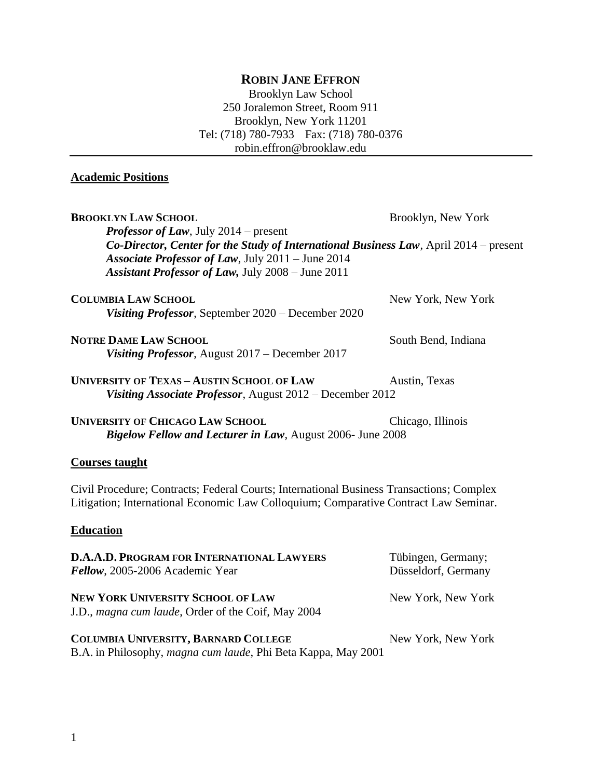# **ROBIN JANE EFFRON**

Brooklyn Law School 250 Joralemon Street, Room 911 Brooklyn, New York 11201 Tel: (718) 780-7933 Fax: (718) 780-0376 robin.effron@brooklaw.edu

### **Academic Positions**

| <b>BROOKLYN LAW SCHOOL</b><br><b>Professor of Law</b> , July 2014 – present<br>Co-Director, Center for the Study of International Business Law, April 2014 – present<br>Associate Professor of Law, July 2011 - June 2014<br><b>Assistant Professor of Law, July 2008 - June 2011</b> | Brooklyn, New York                        |
|---------------------------------------------------------------------------------------------------------------------------------------------------------------------------------------------------------------------------------------------------------------------------------------|-------------------------------------------|
| <b>COLUMBIA LAW SCHOOL</b><br>Visiting Professor, September 2020 – December 2020                                                                                                                                                                                                      | New York, New York                        |
| <b>NOTRE DAME LAW SCHOOL</b><br>Visiting Professor, August 2017 – December 2017                                                                                                                                                                                                       | South Bend, Indiana                       |
| <b>UNIVERSITY OF TEXAS - AUSTIN SCHOOL OF LAW</b><br>Visiting Associate Professor, August 2012 – December 2012                                                                                                                                                                        | Austin, Texas                             |
| <b>UNIVERSITY OF CHICAGO LAW SCHOOL</b><br>Bigelow Fellow and Lecturer in Law, August 2006- June 2008                                                                                                                                                                                 | Chicago, Illinois                         |
| <b>Courses taught</b>                                                                                                                                                                                                                                                                 |                                           |
| Civil Procedure; Contracts; Federal Courts; International Business Transactions; Complex<br>Litigation; International Economic Law Colloquium; Comparative Contract Law Seminar.                                                                                                      |                                           |
| <b>Education</b>                                                                                                                                                                                                                                                                      |                                           |
| <b>D.A.A.D. PROGRAM FOR INTERNATIONAL LAWYERS</b><br>Fellow, 2005-2006 Academic Year                                                                                                                                                                                                  | Tübingen, Germany;<br>Düsseldorf, Germany |
| <b>NEW YORK UNIVERSITY SCHOOL OF LAW</b><br>J.D., magna cum laude, Order of the Coif, May 2004                                                                                                                                                                                        | New York, New York                        |

**COLUMBIA UNIVERSITY, BARNARD COLLEGE** New York, New York B.A. in Philosophy, *magna cum laude*, Phi Beta Kappa, May 2001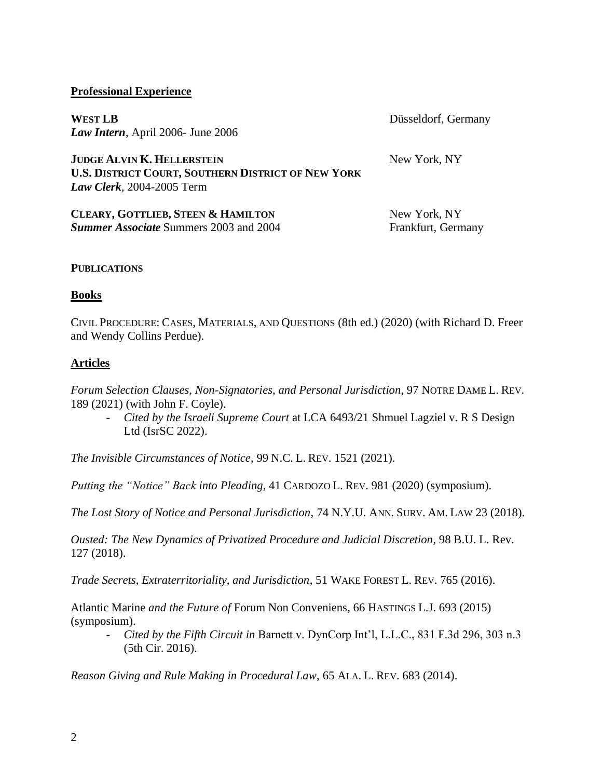### **Professional Experience**

**WEST LB** Düsseldorf, Germany *Law Intern*, April 2006- June 2006

**JUDGE ALVIN K. HELLERSTEIN** New York, NY **U.S. DISTRICT COURT, SOUTHERN DISTRICT OF NEW YORK** *Law Clerk*, 2004-2005 Term

| CLEARY, GOTTLIEB, STEEN & HAMILTON            | New York, NY       |
|-----------------------------------------------|--------------------|
| <b>Summer Associate Summers 2003 and 2004</b> | Frankfurt, Germany |

### **PUBLICATIONS**

### **Books**

CIVIL PROCEDURE: CASES, MATERIALS, AND QUESTIONS (8th ed.) (2020) (with Richard D. Freer and Wendy Collins Perdue).

### **Articles**

*Forum Selection Clauses, Non-Signatories, and Personal Jurisdiction*, 97 NOTRE DAME L. REV. 189 (2021) (with John F. Coyle).

- *Cited by the Israeli Supreme Court* at LCA 6493/21 Shmuel Lagziel v. R S Design Ltd (IsrSC 2022).

*The Invisible Circumstances of Notice*, 99 N.C. L. REV. 1521 (2021).

*Putting the "Notice" Back into Pleading*, 41 CARDOZO L. REV. 981 (2020) (symposium).

*The Lost Story of Notice and Personal Jurisdiction*, 74 N.Y.U. ANN. SURV. AM. LAW 23 (2018).

*Ousted: The New Dynamics of Privatized Procedure and Judicial Discretion*, 98 B.U. L. Rev. 127 (2018).

*Trade Secrets, Extraterritoriality, and Jurisdiction*, 51 WAKE FOREST L. REV. 765 (2016).

Atlantic Marine *and the Future of* Forum Non Conveniens*,* 66 HASTINGS L.J. 693 (2015) (symposium).

*- Cited by the Fifth Circuit in* Barnett v. DynCorp Int'l, L.L.C., 831 F.3d 296, 303 n.3 (5th Cir. 2016).

*Reason Giving and Rule Making in Procedural Law*, 65 ALA. L. REV. 683 (2014).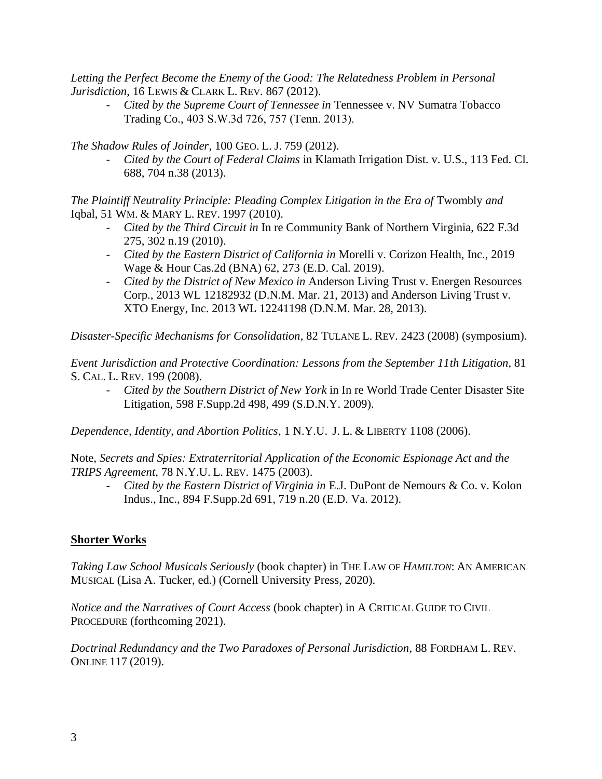*Letting the Perfect Become the Enemy of the Good: The Relatedness Problem in Personal Jurisdiction*, 16 LEWIS & CLARK L. REV. 867 (2012).

*- Cited by the Supreme Court of Tennessee in* Tennessee v. NV Sumatra Tobacco Trading Co., 403 S.W.3d 726, 757 (Tenn. 2013).

*The Shadow Rules of Joinder*, 100 GEO. L. J. 759 (2012).

*- Cited by the Court of Federal Claims* in Klamath Irrigation Dist. v. U.S., 113 Fed. Cl. 688, 704 n.38 (2013).

*The Plaintiff Neutrality Principle: Pleading Complex Litigation in the Era of Twombly and* Iqbal, 51 WM. & MARY L. REV. 1997 (2010).

- *- Cited by the Third Circuit in* In re Community Bank of Northern Virginia, 622 F.3d 275, 302 n.19 (2010).
- *- Cited by the Eastern District of California in* Morelli v. Corizon Health, Inc., 2019 Wage & Hour Cas.2d (BNA) 62, 273 (E.D. Cal. 2019).
- *- Cited by the District of New Mexico in* Anderson Living Trust v. Energen Resources Corp., 2013 WL 12182932 (D.N.M. Mar. 21, 2013) and Anderson Living Trust v. XTO Energy, Inc. 2013 WL 12241198 (D.N.M. Mar. 28, 2013).

*Disaster-Specific Mechanisms for Consolidation*, 82 TULANE L. REV. 2423 (2008) (symposium).

*Event Jurisdiction and Protective Coordination: Lessons from the September 11th Litigation*, 81 S. CAL. L. REV. 199 (2008).

*- Cited by the Southern District of New York* in In re World Trade Center Disaster Site Litigation, 598 F.Supp.2d 498, 499 (S.D.N.Y. 2009).

*Dependence, Identity, and Abortion Politics*, 1 N.Y.U. J. L. & LIBERTY 1108 (2006).

Note, *Secrets and Spies: Extraterritorial Application of the Economic Espionage Act and the TRIPS Agreement*, 78 N.Y.U. L. REV. 1475 (2003).

*- Cited by the Eastern District of Virginia in* E.J. DuPont de Nemours & Co. v. Kolon Indus., Inc., 894 F.Supp.2d 691, 719 n.20 (E.D. Va. 2012).

### **Shorter Works**

*Taking Law School Musicals Seriously* (book chapter) in THE LAW OF *HAMILTON*: AN AMERICAN MUSICAL (Lisa A. Tucker, ed.) (Cornell University Press, 2020).

*Notice and the Narratives of Court Access* (book chapter) in A CRITICAL GUIDE TO CIVIL PROCEDURE (forthcoming 2021).

*Doctrinal Redundancy and the Two Paradoxes of Personal Jurisdiction*, 88 FORDHAM L. REV. ONLINE 117 (2019).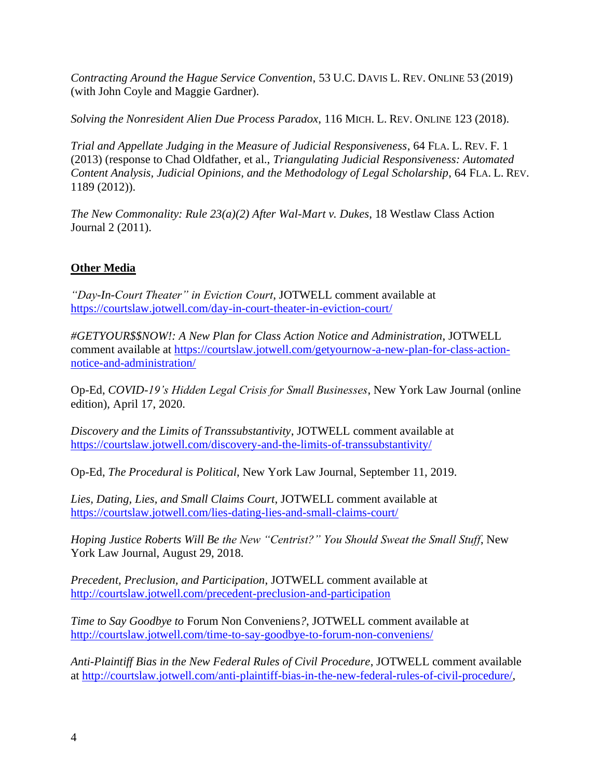*Contracting Around the Hague Service Convention*, 53 U.C. DAVIS L. REV. ONLINE 53 (2019) (with John Coyle and Maggie Gardner).

*Solving the Nonresident Alien Due Process Paradox*, 116 MICH. L. REV. ONLINE 123 (2018).

*Trial and Appellate Judging in the Measure of Judicial Responsiveness*, 64 FLA. L. REV. F. 1 (2013) (response to Chad Oldfather, et al., *Triangulating Judicial Responsiveness: Automated Content Analysis, Judicial Opinions, and the Methodology of Legal Scholarship*, 64 FLA. L. REV. 1189 (2012)).

*The New Commonality: Rule 23(a)(2) After Wal-Mart v. Dukes*, 18 Westlaw Class Action Journal 2 (2011).

## **Other Media**

*"Day-In-Court Theater" in Eviction Court*, JOTWELL comment available at <https://courtslaw.jotwell.com/day-in-court-theater-in-eviction-court/>

*#GETYOUR\$\$NOW!: A New Plan for Class Action Notice and Administration*, JOTWELL comment available at [https://courtslaw.jotwell.com/getyournow-a-new-plan-for-class-action](https://courtslaw.jotwell.com/getyournow-a-new-plan-for-class-action-notice-and-administration/)[notice-and-administration/](https://courtslaw.jotwell.com/getyournow-a-new-plan-for-class-action-notice-and-administration/)

Op-Ed, *COVID-19's Hidden Legal Crisis for Small Businesses*, New York Law Journal (online edition), April 17, 2020.

*Discovery and the Limits of Transsubstantivity*, JOTWELL comment available at <https://courtslaw.jotwell.com/discovery-and-the-limits-of-transsubstantivity/>

Op-Ed, *The Procedural is Political*, New York Law Journal, September 11, 2019.

*Lies, Dating, Lies, and Small Claims Court*, JOTWELL comment available at <https://courtslaw.jotwell.com/lies-dating-lies-and-small-claims-court/>

*Hoping Justice Roberts Will Be the New "Centrist?" You Should Sweat the Small Stuff*, New York Law Journal, August 29, 2018.

*Precedent, Preclusion, and Participation*, JOTWELL comment available at <http://courtslaw.jotwell.com/precedent-preclusion-and-participation>

*Time to Say Goodbye to* Forum Non Conveniens*?*, JOTWELL comment available at <http://courtslaw.jotwell.com/time-to-say-goodbye-to-forum-non-conveniens/>

*Anti-Plaintiff Bias in the New Federal Rules of Civil Procedure*, JOTWELL comment available at [http://courtslaw.jotwell.com/anti-plaintiff-bias-in-the-new-federal-rules-of-civil-procedure/,](http://courtslaw.jotwell.com/anti-plaintiff-bias-in-the-new-federal-rules-of-civil-procedure/)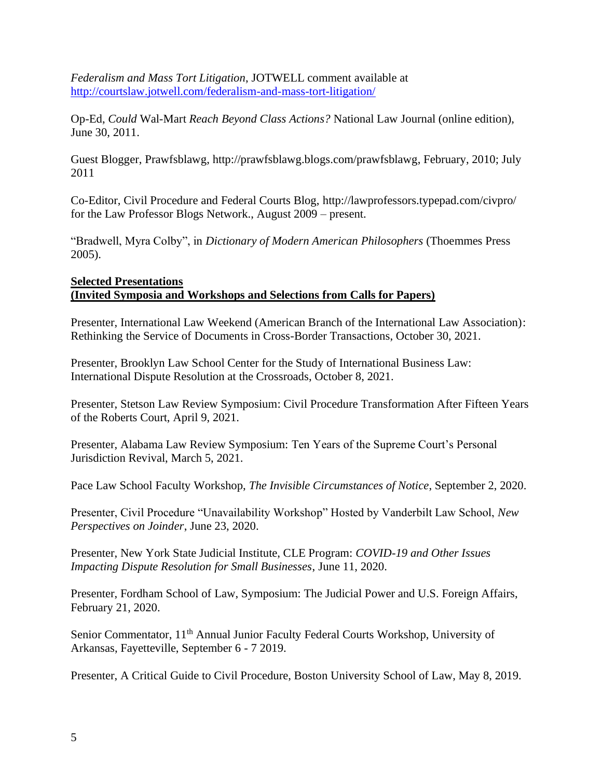*Federalism and Mass Tort Litigation*, JOTWELL comment available at <http://courtslaw.jotwell.com/federalism-and-mass-tort-litigation/>

Op-Ed, *Could* Wal-Mart *Reach Beyond Class Actions?* National Law Journal (online edition), June 30, 2011.

Guest Blogger, Prawfsblawg, http://prawfsblawg.blogs.com/prawfsblawg, February, 2010; July 2011

Co-Editor, Civil Procedure and Federal Courts Blog, http://lawprofessors.typepad.com/civpro/ for the Law Professor Blogs Network., August 2009 – present.

"Bradwell, Myra Colby", in *Dictionary of Modern American Philosophers* (Thoemmes Press 2005).

### **Selected Presentations (Invited Symposia and Workshops and Selections from Calls for Papers)**

Presenter, International Law Weekend (American Branch of the International Law Association): Rethinking the Service of Documents in Cross-Border Transactions, October 30, 2021.

Presenter, Brooklyn Law School Center for the Study of International Business Law: International Dispute Resolution at the Crossroads, October 8, 2021.

Presenter, Stetson Law Review Symposium: Civil Procedure Transformation After Fifteen Years of the Roberts Court, April 9, 2021.

Presenter, Alabama Law Review Symposium: Ten Years of the Supreme Court's Personal Jurisdiction Revival, March 5, 2021.

Pace Law School Faculty Workshop, *The Invisible Circumstances of Notice*, September 2, 2020.

Presenter, Civil Procedure "Unavailability Workshop" Hosted by Vanderbilt Law School, *New Perspectives on Joinder*, June 23, 2020.

Presenter, New York State Judicial Institute, CLE Program: *COVID-19 and Other Issues Impacting Dispute Resolution for Small Businesses*, June 11, 2020.

Presenter, Fordham School of Law, Symposium: The Judicial Power and U.S. Foreign Affairs, February 21, 2020.

Senior Commentator, 11th Annual Junior Faculty Federal Courts Workshop, University of Arkansas, Fayetteville, September 6 - 7 2019.

Presenter, A Critical Guide to Civil Procedure, Boston University School of Law, May 8, 2019.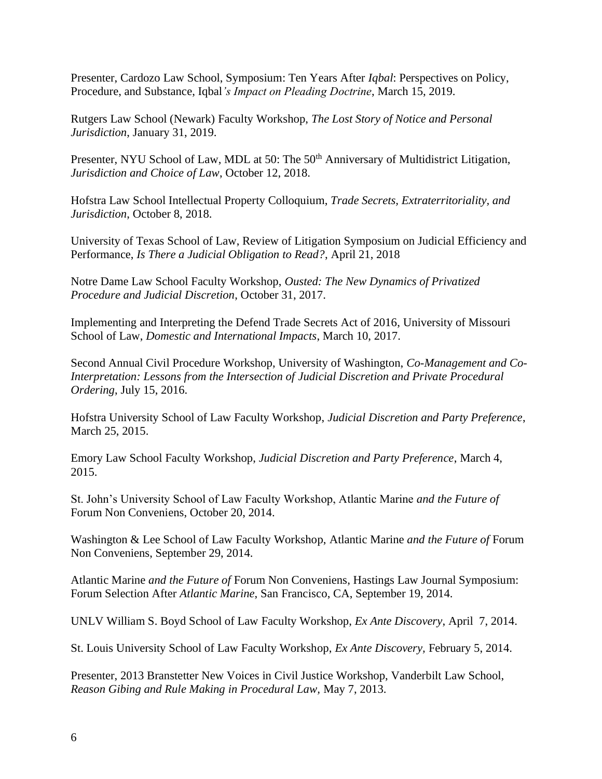Presenter, Cardozo Law School, Symposium: Ten Years After *Iqbal*: Perspectives on Policy, Procedure, and Substance, Iqbal*'s Impact on Pleading Doctrine*, March 15, 2019.

Rutgers Law School (Newark) Faculty Workshop, *The Lost Story of Notice and Personal Jurisdiction*, January 31, 2019.

Presenter, NYU School of Law, MDL at 50: The 50<sup>th</sup> Anniversary of Multidistrict Litigation, *Jurisdiction and Choice of Law*, October 12, 2018.

Hofstra Law School Intellectual Property Colloquium, *Trade Secrets, Extraterritoriality, and Jurisdiction*, October 8, 2018.

University of Texas School of Law, Review of Litigation Symposium on Judicial Efficiency and Performance, *Is There a Judicial Obligation to Read?*, April 21, 2018

Notre Dame Law School Faculty Workshop, *Ousted: The New Dynamics of Privatized Procedure and Judicial Discretion*, October 31, 2017.

Implementing and Interpreting the Defend Trade Secrets Act of 2016, University of Missouri School of Law, *Domestic and International Impacts*, March 10, 2017.

Second Annual Civil Procedure Workshop, University of Washington, *Co-Management and Co-Interpretation: Lessons from the Intersection of Judicial Discretion and Private Procedural Ordering*, July 15, 2016.

Hofstra University School of Law Faculty Workshop, *Judicial Discretion and Party Preference*, March 25, 2015.

Emory Law School Faculty Workshop, *Judicial Discretion and Party Preference*, March 4, 2015.

St. John's University School of Law Faculty Workshop, Atlantic Marine *and the Future of*  Forum Non Conveniens, October 20, 2014.

Washington & Lee School of Law Faculty Workshop, Atlantic Marine *and the Future of* Forum Non Conveniens, September 29, 2014.

Atlantic Marine *and the Future of* Forum Non Conveniens, Hastings Law Journal Symposium: Forum Selection After *Atlantic Marine*, San Francisco, CA, September 19, 2014.

UNLV William S. Boyd School of Law Faculty Workshop, *Ex Ante Discovery*, April 7, 2014.

St. Louis University School of Law Faculty Workshop, *Ex Ante Discovery,* February 5, 2014.

Presenter, 2013 Branstetter New Voices in Civil Justice Workshop, Vanderbilt Law School, *Reason Gibing and Rule Making in Procedural Law,* May 7, 2013.